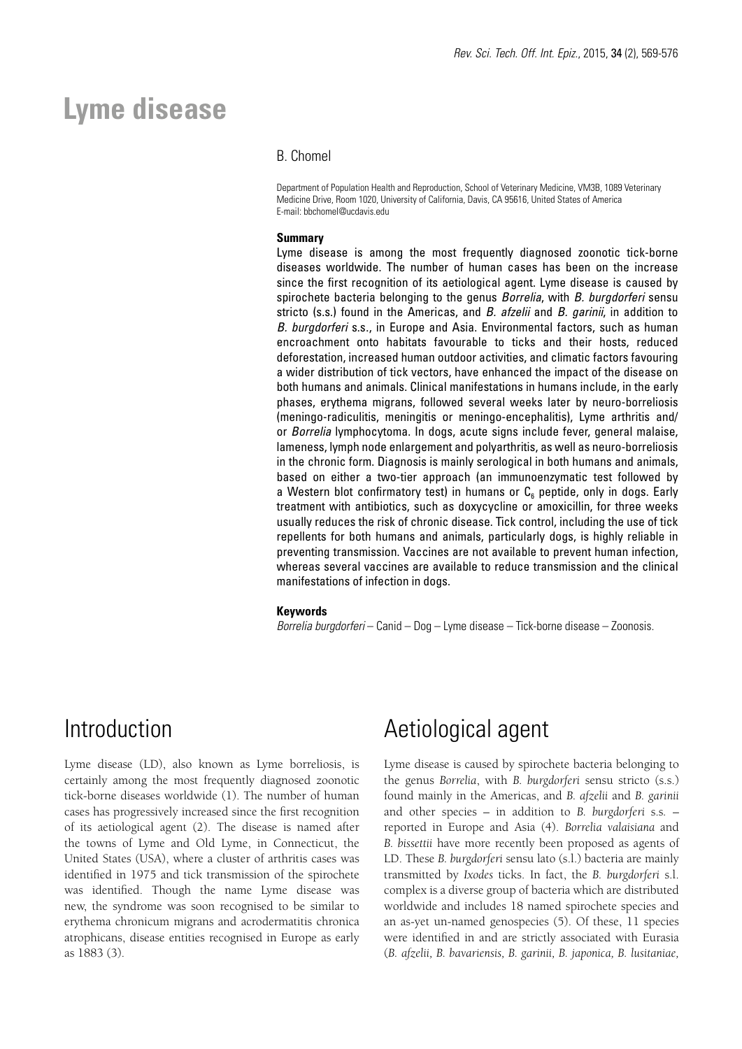# **Lyme disease**

### B. Chomel

Department of Population Health and Reproduction, School of Veterinary Medicine, VM3B, 1089 Veterinary Medicine Drive, Room 1020, University of California, Davis, CA 95616, United States of America E-mail: bbchomel@ucdavis.edu

### **Summary**

Lyme disease is among the most frequently diagnosed zoonotic tick-borne diseases worldwide. The number of human cases has been on the increase since the first recognition of its aetiological agent. Lyme disease is caused by spirochete bacteria belonging to the genus *Borrelia*, with *B. burgdorferi* sensu stricto (s.s.) found in the Americas, and *B. afzelii* and *B. garinii*, in addition to *B. burgdorferi* s.s., in Europe and Asia. Environmental factors, such as human encroachment onto habitats favourable to ticks and their hosts, reduced deforestation, increased human outdoor activities, and climatic factors favouring a wider distribution of tick vectors, have enhanced the impact of the disease on both humans and animals. Clinical manifestations in humans include, in the early phases, erythema migrans, followed several weeks later by neuro-borreliosis (meningo-radiculitis, meningitis or meningo-encephalitis), Lyme arthritis and/ or *Borrelia* lymphocytoma. In dogs, acute signs include fever, general malaise, lameness, lymph node enlargement and polyarthritis, as well as neuro-borreliosis in the chronic form. Diagnosis is mainly serological in both humans and animals, based on either a two-tier approach (an immunoenzymatic test followed by a Western blot confirmatory test) in humans or  $C_6$  peptide, only in dogs. Early treatment with antibiotics, such as doxycycline or amoxicillin, for three weeks usually reduces the risk of chronic disease. Tick control, including the use of tick repellents for both humans and animals, particularly dogs, is highly reliable in preventing transmission. Vaccines are not available to prevent human infection, whereas several vaccines are available to reduce transmission and the clinical manifestations of infection in dogs.

#### **Keywords**

*Borrelia burgdorferi* – Canid – Dog – Lyme disease – Tick-borne disease – Zoonosis.

### Introduction

Lyme disease (LD), also known as Lyme borreliosis, is certainly among the most frequently diagnosed zoonotic tick-borne diseases worldwide (1). The number of human cases has progressively increased since the first recognition of its aetiological agent (2). The disease is named after the towns of Lyme and Old Lyme, in Connecticut, the United States (USA), where a cluster of arthritis cases was identified in 1975 and tick transmission of the spirochete was identified. Though the name Lyme disease was new, the syndrome was soon recognised to be similar to erythema chronicum migrans and acrodermatitis chronica atrophicans, disease entities recognised in Europe as early as 1883 (3).

### Aetiological agent

Lyme disease is caused by spirochete bacteria belonging to the genus *Borrelia*, with *B. burgdorferi* sensu stricto (s.s.) found mainly in the Americas, and *B. afzelii* and *B. garinii* and other species – in addition to *B. burgdorferi* s.s*.* – reported in Europe and Asia (4). *Borrelia valaisiana* and *B. bissettii* have more recently been proposed as agents of LD. These *B. burgdorferi* sensu lato (s.l.) bacteria are mainly transmitted by *Ixodes* ticks. In fact, the *B. burgdorferi* s.l. complex is a diverse group of bacteria which are distributed worldwide and includes 18 named spirochete species and an as-yet un-named genospecies (5). Of these, 11 species were identified in and are strictly associated with Eurasia (*B. afzelii, B. bavariensis, B. garinii, B. japonica, B. lusitaniae,*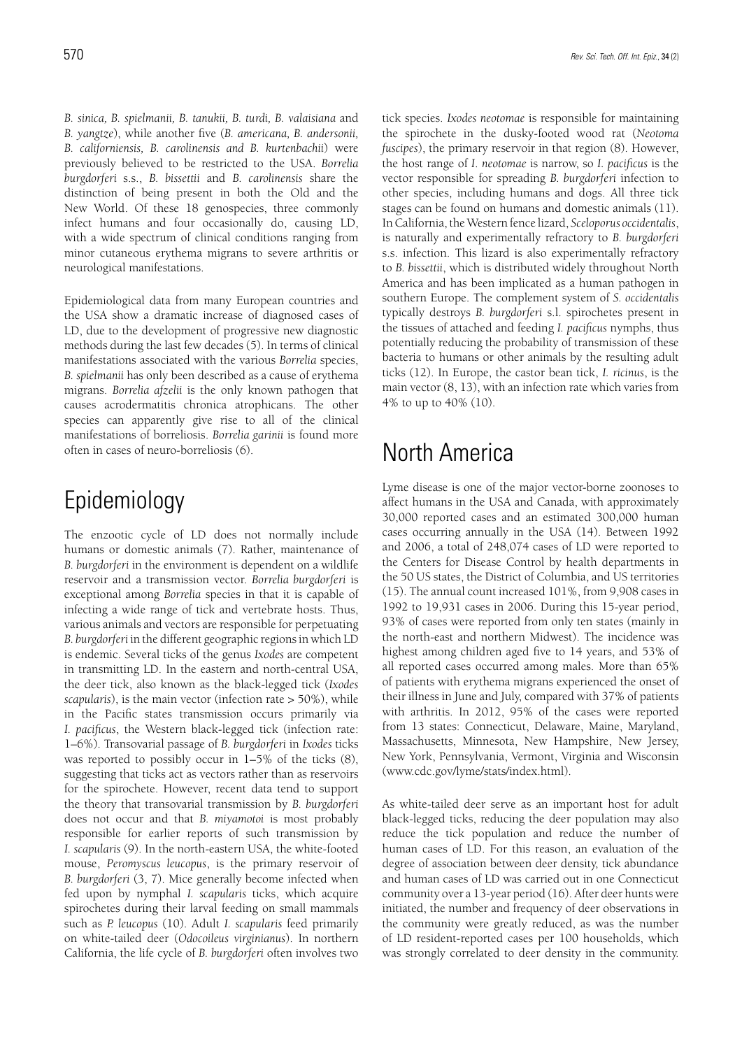*B. sinica, B. spielmanii, B. tanukii, B. turdi, B. valaisiana* and *B. yangtze*), while another five (*B. americana, B. andersonii, B. californiensis, B. carolinensis and B. kurtenbachii*) were previously believed to be restricted to the USA. *Borrelia burgdorferi* s.s., *B. bissettii* and *B. carolinensis* share the distinction of being present in both the Old and the New World. Of these 18 genospecies, three commonly infect humans and four occasionally do, causing LD, with a wide spectrum of clinical conditions ranging from minor cutaneous erythema migrans to severe arthritis or neurological manifestations.

Epidemiological data from many European countries and the USA show a dramatic increase of diagnosed cases of LD, due to the development of progressive new diagnostic methods during the last few decades (5). In terms of clinical manifestations associated with the various *Borrelia* species, *B. spielmanii* has only been described as a cause of erythema migrans. *Borrelia afzelii* is the only known pathogen that causes acrodermatitis chronica atrophicans. The other species can apparently give rise to all of the clinical manifestations of borreliosis. *Borrelia garinii* is found more often in cases of neuro-borreliosis (6).

# Epidemiology

The enzootic cycle of LD does not normally include humans or domestic animals (7). Rather, maintenance of *B. burgdorferi* in the environment is dependent on a wildlife reservoir and a transmission vector. *Borrelia burgdorferi* is exceptional among *Borrelia* species in that it is capable of infecting a wide range of tick and vertebrate hosts. Thus, various animals and vectors are responsible for perpetuating *B. burgdorferi* in the different geographic regions in which LD is endemic. Several ticks of the genus *Ixodes* are competent in transmitting LD. In the eastern and north-central USA, the deer tick, also known as the black-legged tick (*Ixodes scapularis*), is the main vector (infection rate > 50%), while in the Pacific states transmission occurs primarily via *I. pacificus*, the Western black-legged tick (infection rate: 1–6%). Transovarial passage of *B. burgdorferi* in *Ixodes* ticks was reported to possibly occur in  $1-5\%$  of the ticks  $(8)$ , suggesting that ticks act as vectors rather than as reservoirs for the spirochete. However, recent data tend to support the theory that transovarial transmission by *B. burgdorferi* does not occur and that *B. miyamotoi* is most probably responsible for earlier reports of such transmission by *I. scapularis* (9). In the north-eastern USA, the white-footed mouse, *Peromyscus leucopus*, is the primary reservoir of *B. burgdorferi* (3, 7). Mice generally become infected when fed upon by nymphal *I. scapularis* ticks, which acquire spirochetes during their larval feeding on small mammals such as *P. leucopus* (10). Adult *I. scapularis* feed primarily on white-tailed deer (*Odocoileus virginianus*). In northern California, the life cycle of *B. burgdorferi* often involves two

tick species. *Ixodes neotomae* is responsible for maintaining the spirochete in the dusky-footed wood rat (*Neotoma fuscipes*), the primary reservoir in that region (8). However, the host range of *I*. *neotomae* is narrow, so *I. pacificus* is the vector responsible for spreading *B. burgdorferi* infection to other species, including humans and dogs. All three tick stages can be found on humans and domestic animals (11). In California, the Western fence lizard, *Sceloporus occidentalis*, is naturally and experimentally refractory to *B. burgdorferi* s.s. infection. This lizard is also experimentally refractory to *B. bissettii*, which is distributed widely throughout North America and has been implicated as a human pathogen in southern Europe. The complement system of *S. occidentalis*  typically destroys *B. burgdorferi* s.l. spirochetes present in the tissues of attached and feeding *I. pacificus* nymphs, thus potentially reducing the probability of transmission of these bacteria to humans or other animals by the resulting adult ticks (12). In Europe, the castor bean tick, *I. ricinus*, is the main vector (8, 13), with an infection rate which varies from 4% to up to 40% (10).

## North America

Lyme disease is one of the major vector-borne zoonoses to affect humans in the USA and Canada, with approximately 30,000 reported cases and an estimated 300,000 human cases occurring annually in the USA (14). Between 1992 and 2006, a total of 248,074 cases of LD were reported to the Centers for Disease Control by health departments in the 50 US states, the District of Columbia, and US territories (15). The annual count increased 101%, from 9,908 cases in 1992 to 19,931 cases in 2006. During this 15-year period, 93% of cases were reported from only ten states (mainly in the north-east and northern Midwest). The incidence was highest among children aged five to 14 years, and 53% of all reported cases occurred among males. More than 65% of patients with erythema migrans experienced the onset of their illness in June and July, compared with 37% of patients with arthritis. In 2012, 95% of the cases were reported from 13 states: Connecticut, Delaware, Maine, Maryland, Massachusetts, Minnesota, New Hampshire, New Jersey, New York, Pennsylvania, Vermont, Virginia and Wisconsin (www.cdc.gov/lyme/stats/index.html).

As white-tailed deer serve as an important host for adult black-legged ticks, reducing the deer population may also reduce the tick population and reduce the number of human cases of LD. For this reason, an evaluation of the degree of association between deer density, tick abundance and human cases of LD was carried out in one Connecticut community over a 13-year period (16). After deer hunts were initiated, the number and frequency of deer observations in the community were greatly reduced, as was the number of LD resident-reported cases per 100 households, which was strongly correlated to deer density in the community.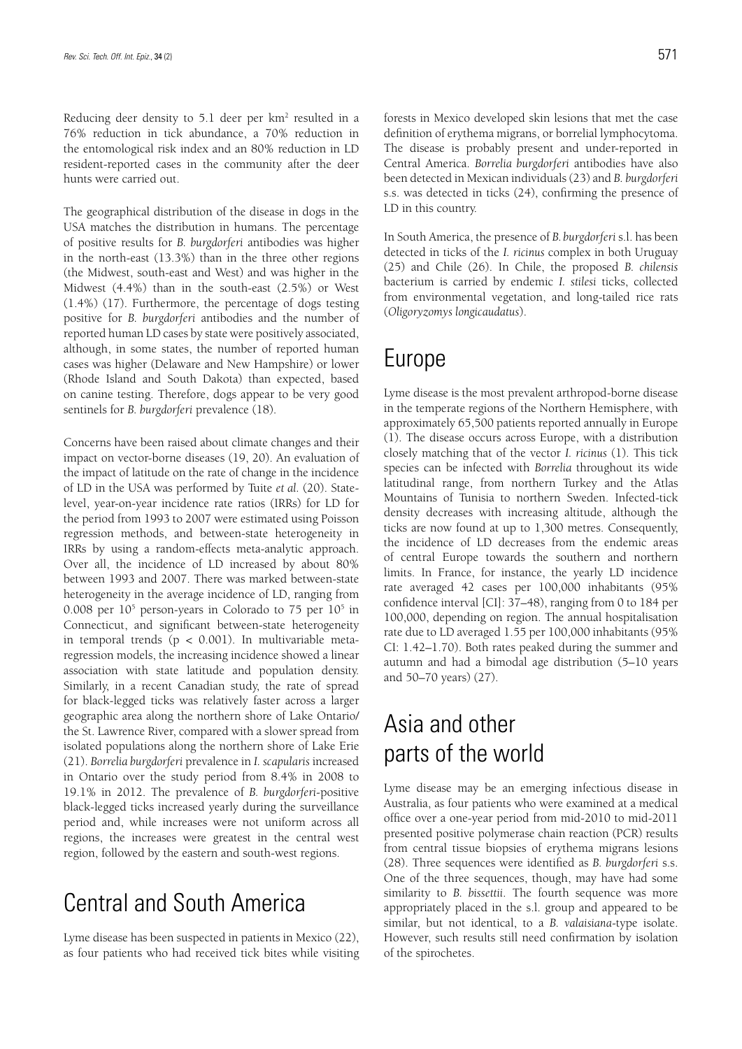Reducing deer density to  $5.1$  deer per  $km<sup>2</sup>$  resulted in a 76% reduction in tick abundance, a 70% reduction in the entomological risk index and an 80% reduction in LD resident-reported cases in the community after the deer hunts were carried out.

The geographical distribution of the disease in dogs in the USA matches the distribution in humans. The percentage of positive results for *B. burgdorferi* antibodies was higher in the north-east (13.3%) than in the three other regions (the Midwest, south-east and West) and was higher in the Midwest (4.4%) than in the south-east (2.5%) or West (1.4%) (17). Furthermore, the percentage of dogs testing positive for *B. burgdorferi* antibodies and the number of reported human LD cases by state were positively associated, although, in some states, the number of reported human cases was higher (Delaware and New Hampshire) or lower (Rhode Island and South Dakota) than expected, based on canine testing. Therefore, dogs appear to be very good sentinels for *B. burgdorferi* prevalence (18).

Concerns have been raised about climate changes and their impact on vector-borne diseases (19, 20). An evaluation of the impact of latitude on the rate of change in the incidence of LD in the USA was performed by Tuite *et al.* (20). Statelevel, year-on-year incidence rate ratios (IRRs) for LD for the period from 1993 to 2007 were estimated using Poisson regression methods, and between-state heterogeneity in IRRs by using a random-effects meta-analytic approach. Over all, the incidence of LD increased by about 80% between 1993 and 2007. There was marked between-state heterogeneity in the average incidence of LD, ranging from 0.008 per  $10^5$  person-years in Colorado to 75 per  $10^5$  in Connecticut, and significant between-state heterogeneity in temporal trends ( $p < 0.001$ ). In multivariable metaregression models, the increasing incidence showed a linear association with state latitude and population density. Similarly, in a recent Canadian study, the rate of spread for black-legged ticks was relatively faster across a larger geographic area along the northern shore of Lake Ontario/ the St. Lawrence River, compared with a slower spread from isolated populations along the northern shore of Lake Erie (21). *Borrelia burgdorferi* prevalence in *I. scapularis* increased in Ontario over the study period from 8.4% in 2008 to 19.1% in 2012. The prevalence of *B. burgdorferi*-positive black-legged ticks increased yearly during the surveillance period and, while increases were not uniform across all regions, the increases were greatest in the central west region, followed by the eastern and south-west regions.

# Central and South America

Lyme disease has been suspected in patients in Mexico (22), as four patients who had received tick bites while visiting forests in Mexico developed skin lesions that met the case definition of erythema migrans, or borrelial lymphocytoma. The disease is probably present and under-reported in Central America. *Borrelia burgdorferi* antibodies have also been detected in Mexican individuals (23) and *B. burgdorferi* s.s. was detected in ticks (24), confirming the presence of LD in this country.

In South America, the presence of *B. burgdorferi* s.l. has been detected in ticks of the *I. ricinus* complex in both Uruguay (25) and Chile (26). In Chile, the proposed *B. chilensis* bacterium is carried by endemic *I. stilesi* ticks, collected from environmental vegetation, and long-tailed rice rats (*Oligoryzomys longicaudatus*).

### Europe

Lyme disease is the most prevalent arthropod-borne disease in the temperate regions of the Northern Hemisphere, with approximately 65,500 patients reported annually in Europe (1). The disease occurs across Europe, with a distribution closely matching that of the vector *I. ricinus* (1). This tick species can be infected with *Borrelia* throughout its wide latitudinal range, from northern Turkey and the Atlas Mountains of Tunisia to northern Sweden. Infected-tick density decreases with increasing altitude, although the ticks are now found at up to 1,300 metres. Consequently, the incidence of LD decreases from the endemic areas of central Europe towards the southern and northern limits. In France, for instance, the yearly LD incidence rate averaged 42 cases per 100,000 inhabitants (95% confidence interval [CI]: 37–48), ranging from 0 to 184 per 100,000, depending on region. The annual hospitalisation rate due to LD averaged 1.55 per 100,000 inhabitants (95% CI: 1.42–1.70). Both rates peaked during the summer and autumn and had a bimodal age distribution (5–10 years and 50–70 years) (27).

# Asia and other parts of the world

Lyme disease may be an emerging infectious disease in Australia, as four patients who were examined at a medical office over a one-year period from mid-2010 to mid-2011 presented positive polymerase chain reaction (PCR) results from central tissue biopsies of erythema migrans lesions (28). Three sequences were identified as *B. burgdorferi* s.s. One of the three sequences, though, may have had some similarity to *B. bissettii*. The fourth sequence was more appropriately placed in the s.l. group and appeared to be similar, but not identical, to a *B. valaisiana*-type isolate. However, such results still need confirmation by isolation of the spirochetes.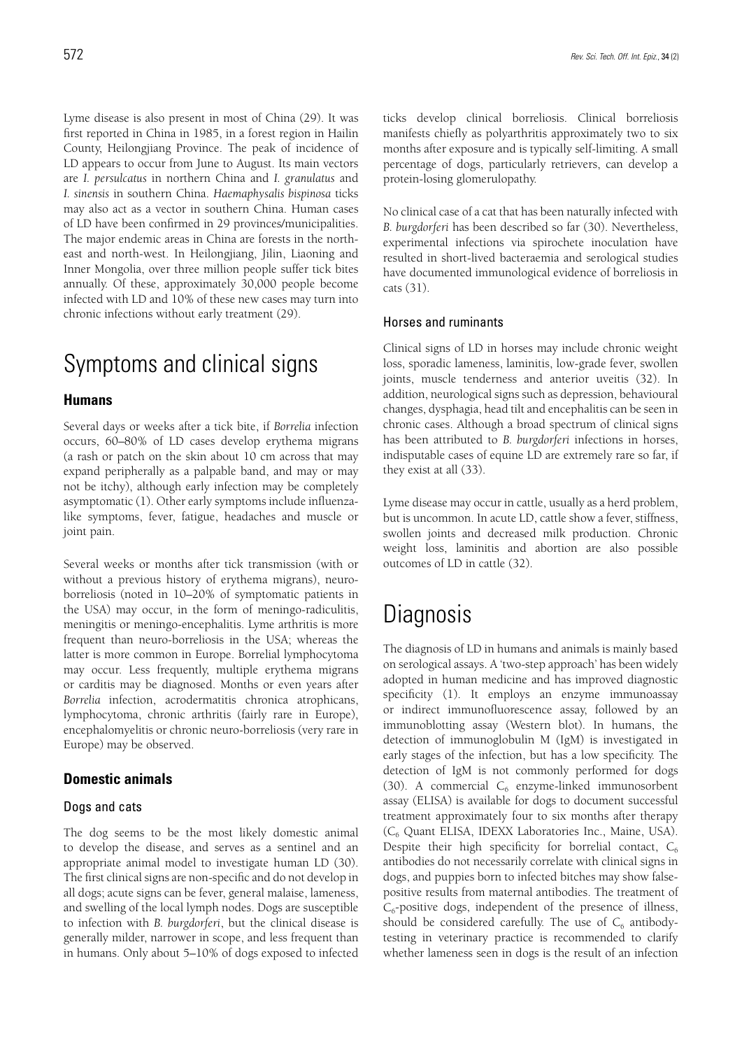Lyme disease is also present in most of China (29). It was first reported in China in 1985, in a forest region in Hailin County, Heilongjiang Province. The peak of incidence of LD appears to occur from June to August. Its main vectors are *I. persulcatus* in northern China and *I. granulatus* and *I. sinensis* in southern China. *Haemaphysalis bispinosa* ticks may also act as a vector in southern China. Human cases of LD have been confirmed in 29 provinces/municipalities. The major endemic areas in China are forests in the northeast and north-west. In Heilongjiang, Jilin, Liaoning and Inner Mongolia, over three million people suffer tick bites annually. Of these, approximately 30,000 people become infected with LD and 10% of these new cases may turn into chronic infections without early treatment (29).

## Symptoms and clinical signs

### **Humans**

Several days or weeks after a tick bite, if *Borrelia* infection occurs, 60–80% of LD cases develop erythema migrans (a rash or patch on the skin about 10 cm across that may expand peripherally as a palpable band, and may or may not be itchy), although early infection may be completely asymptomatic (1). Other early symptoms include influenzalike symptoms, fever, fatigue, headaches and muscle or joint pain.

Several weeks or months after tick transmission (with or without a previous history of erythema migrans), neuroborreliosis (noted in 10–20% of symptomatic patients in the USA) may occur, in the form of meningo-radiculitis, meningitis or meningo-encephalitis. Lyme arthritis is more frequent than neuro-borreliosis in the USA; whereas the latter is more common in Europe. Borrelial lymphocytoma may occur. Less frequently, multiple erythema migrans or carditis may be diagnosed. Months or even years after *Borrelia* infection, acrodermatitis chronica atrophicans, lymphocytoma, chronic arthritis (fairly rare in Europe), encephalomyelitis or chronic neuro-borreliosis (very rare in Europe) may be observed.

### **Domestic animals**

#### Dogs and cats

The dog seems to be the most likely domestic animal to develop the disease, and serves as a sentinel and an appropriate animal model to investigate human LD (30). The first clinical signs are non-specific and do not develop in all dogs; acute signs can be fever, general malaise, lameness, and swelling of the local lymph nodes. Dogs are susceptible to infection with *B. burgdorferi*, but the clinical disease is generally milder, narrower in scope, and less frequent than in humans. Only about 5–10% of dogs exposed to infected ticks develop clinical borreliosis. Clinical borreliosis manifests chiefly as polyarthritis approximately two to six months after exposure and is typically self-limiting. A small percentage of dogs, particularly retrievers, can develop a protein-losing glomerulopathy.

No clinical case of a cat that has been naturally infected with *B. burgdorferi* has been described so far (30). Nevertheless, experimental infections via spirochete inoculation have resulted in short-lived bacteraemia and serological studies have documented immunological evidence of borreliosis in cats (31).

### Horses and ruminants

Clinical signs of LD in horses may include chronic weight loss, sporadic lameness, laminitis, low-grade fever, swollen joints, muscle tenderness and anterior uveitis (32). In addition, neurological signs such as depression, behavioural changes, dysphagia, head tilt and encephalitis can be seen in chronic cases. Although a broad spectrum of clinical signs has been attributed to *B. burgdorferi* infections in horses, indisputable cases of equine LD are extremely rare so far, if they exist at all (33).

Lyme disease may occur in cattle, usually as a herd problem, but is uncommon. In acute LD, cattle show a fever, stiffness, swollen joints and decreased milk production. Chronic weight loss, laminitis and abortion are also possible outcomes of LD in cattle (32).

# **Diagnosis**

The diagnosis of LD in humans and animals is mainly based on serological assays. A 'two-step approach' has been widely adopted in human medicine and has improved diagnostic specificity (1). It employs an enzyme immunoassay or indirect immunofluorescence assay, followed by an immunoblotting assay (Western blot). In humans, the detection of immunoglobulin M (IgM) is investigated in early stages of the infection, but has a low specificity. The detection of IgM is not commonly performed for dogs (30). A commercial  $C_6$  enzyme-linked immunosorbent assay (ELISA) is available for dogs to document successful treatment approximately four to six months after therapy (C6 Quant ELISA, IDEXX Laboratories Inc., Maine, USA). Despite their high specificity for borrelial contact,  $C_6$ antibodies do not necessarily correlate with clinical signs in dogs, and puppies born to infected bitches may show falsepositive results from maternal antibodies. The treatment of  $C_6$ -positive dogs, independent of the presence of illness, should be considered carefully. The use of  $C_6$  antibodytesting in veterinary practice is recommended to clarify whether lameness seen in dogs is the result of an infection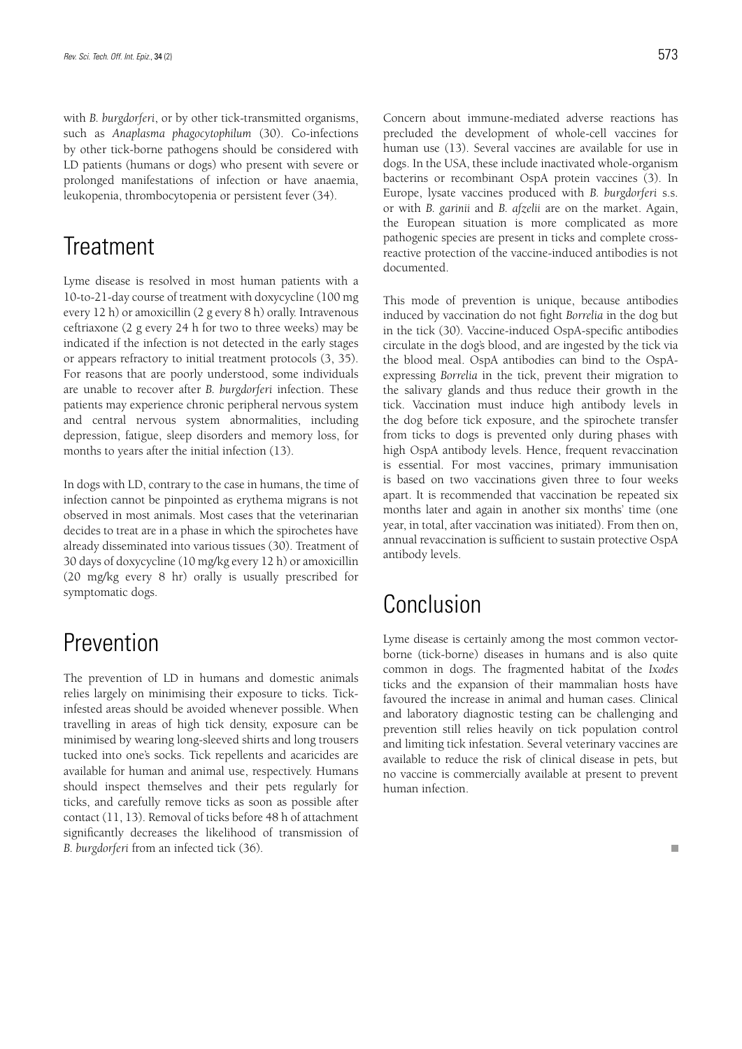with *B. burgdorferi*, or by other tick-transmitted organisms, such as *Anaplasma phagocytophilum* (30). Co-infections by other tick-borne pathogens should be considered with LD patients (humans or dogs) who present with severe or prolonged manifestations of infection or have anaemia, leukopenia, thrombocytopenia or persistent fever (34).

## **Treatment**

Lyme disease is resolved in most human patients with a 10-to-21-day course of treatment with doxycycline (100 mg every 12 h) or amoxicillin (2 g every 8 h) orally. Intravenous ceftriaxone (2 g every 24 h for two to three weeks) may be indicated if the infection is not detected in the early stages or appears refractory to initial treatment protocols (3, 35). For reasons that are poorly understood, some individuals are unable to recover after *B. burgdorferi* infection. These patients may experience chronic peripheral nervous system and central nervous system abnormalities, including depression, fatigue, sleep disorders and memory loss, for months to years after the initial infection (13).

In dogs with LD, contrary to the case in humans, the time of infection cannot be pinpointed as erythema migrans is not observed in most animals. Most cases that the veterinarian decides to treat are in a phase in which the spirochetes have already disseminated into various tissues (30). Treatment of 30 days of doxycycline (10 mg/kg every 12 h) or amoxicillin (20 mg/kg every 8 hr) orally is usually prescribed for symptomatic dogs.

## Prevention

The prevention of LD in humans and domestic animals relies largely on minimising their exposure to ticks. Tickinfested areas should be avoided whenever possible. When travelling in areas of high tick density, exposure can be minimised by wearing long-sleeved shirts and long trousers tucked into one's socks. Tick repellents and acaricides are available for human and animal use, respectively. Humans should inspect themselves and their pets regularly for ticks, and carefully remove ticks as soon as possible after contact (11, 13). Removal of ticks before 48 h of attachment significantly decreases the likelihood of transmission of *B. burgdorferi* from an infected tick (36).

Concern about immune-mediated adverse reactions has precluded the development of whole-cell vaccines for human use (13). Several vaccines are available for use in dogs. In the USA, these include inactivated whole-organism bacterins or recombinant OspA protein vaccines (3). In Europe, lysate vaccines produced with *B. burgdorferi* s.s. or with *B. garinii* and *B. afzelii* are on the market. Again, the European situation is more complicated as more pathogenic species are present in ticks and complete crossreactive protection of the vaccine-induced antibodies is not documented.

This mode of prevention is unique, because antibodies induced by vaccination do not fight *Borrelia* in the dog but in the tick (30). Vaccine-induced OspA-specific antibodies circulate in the dog's blood, and are ingested by the tick via the blood meal. OspA antibodies can bind to the OspAexpressing *Borrelia* in the tick, prevent their migration to the salivary glands and thus reduce their growth in the tick. Vaccination must induce high antibody levels in the dog before tick exposure, and the spirochete transfer from ticks to dogs is prevented only during phases with high OspA antibody levels. Hence, frequent revaccination is essential. For most vaccines, primary immunisation is based on two vaccinations given three to four weeks apart. It is recommended that vaccination be repeated six months later and again in another six months' time (one year, in total, after vaccination was initiated). From then on, annual revaccination is sufficient to sustain protective OspA antibody levels.

## Conclusion

Lyme disease is certainly among the most common vectorborne (tick-borne) diseases in humans and is also quite common in dogs. The fragmented habitat of the *Ixodes* ticks and the expansion of their mammalian hosts have favoured the increase in animal and human cases. Clinical and laboratory diagnostic testing can be challenging and prevention still relies heavily on tick population control and limiting tick infestation. Several veterinary vaccines are available to reduce the risk of clinical disease in pets, but no vaccine is commercially available at present to prevent human infection.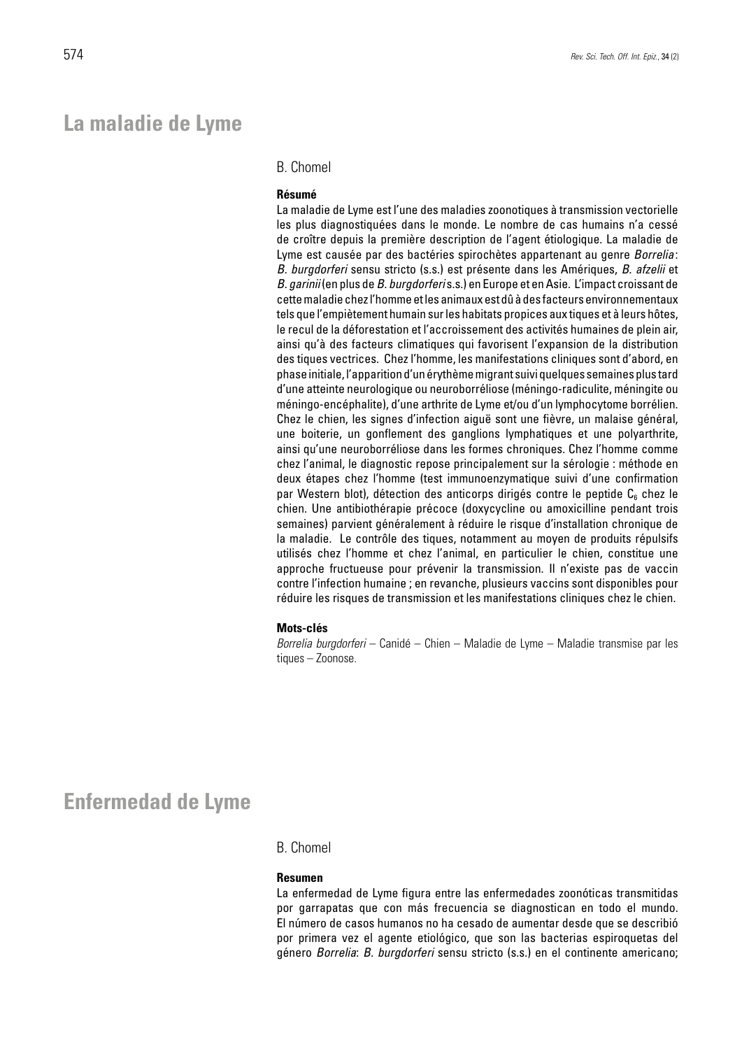### **La maladie de Lyme**

### B. Chomel

#### **Résumé**

La maladie de Lyme est l'une des maladies zoonotiques à transmission vectorielle les plus diagnostiquées dans le monde. Le nombre de cas humains n'a cessé de croître depuis la première description de l'agent étiologique. La maladie de Lyme est causée par des bactéries spirochètes appartenant au genre *Borrelia*: *B. burgdorferi* sensu stricto (s.s.) est présente dans les Amériques, *B. afzelii* et *B. garinii* (en plus de *B. burgdorferi* s.s.) en Europe et en Asie. L'impact croissant de cette maladie chez l'homme et les animaux est dû à des facteurs environnementaux tels que l'empiètement humain sur les habitats propices aux tiques et à leurs hôtes, le recul de la déforestation et l'accroissement des activités humaines de plein air, ainsi qu'à des facteurs climatiques qui favorisent l'expansion de la distribution des tiques vectrices. Chez l'homme, les manifestations cliniques sont d'abord, en phase initiale, l'apparition d'un érythème migrant suivi quelques semaines plus tard d'une atteinte neurologique ou neuroborréliose (méningo-radiculite, méningite ou méningo-encéphalite), d'une arthrite de Lyme et/ou d'un lymphocytome borrélien. Chez le chien, les signes d'infection aiguë sont une fièvre, un malaise général, une boiterie, un gonflement des ganglions lymphatiques et une polyarthrite, ainsi qu'une neuroborréliose dans les formes chroniques. Chez l'homme comme chez l'animal, le diagnostic repose principalement sur la sérologie : méthode en deux étapes chez l'homme (test immunoenzymatique suivi d'une confirmation par Western blot), détection des anticorps dirigés contre le peptide  $C_6$  chez le chien. Une antibiothérapie précoce (doxycycline ou amoxicilline pendant trois semaines) parvient généralement à réduire le risque d'installation chronique de la maladie. Le contrôle des tiques, notamment au moyen de produits répulsifs utilisés chez l'homme et chez l'animal, en particulier le chien, constitue une approche fructueuse pour prévenir la transmission. Il n'existe pas de vaccin contre l'infection humaine ; en revanche, plusieurs vaccins sont disponibles pour réduire les risques de transmission et les manifestations cliniques chez le chien.

#### **Mots-clés**

*Borrelia burgdorferi* – Canidé – Chien – Maladie de Lyme – Maladie transmise par les tiques – Zoonose.

### **Enfermedad de Lyme**

### B. Chomel

#### **Resumen**

La enfermedad de Lyme figura entre las enfermedades zoonóticas transmitidas por garrapatas que con más frecuencia se diagnostican en todo el mundo. El número de casos humanos no ha cesado de aumentar desde que se describió por primera vez el agente etiológico, que son las bacterias espiroquetas del género *Borrelia*: *B. burgdorferi* sensu stricto (s.s.) en el continente americano;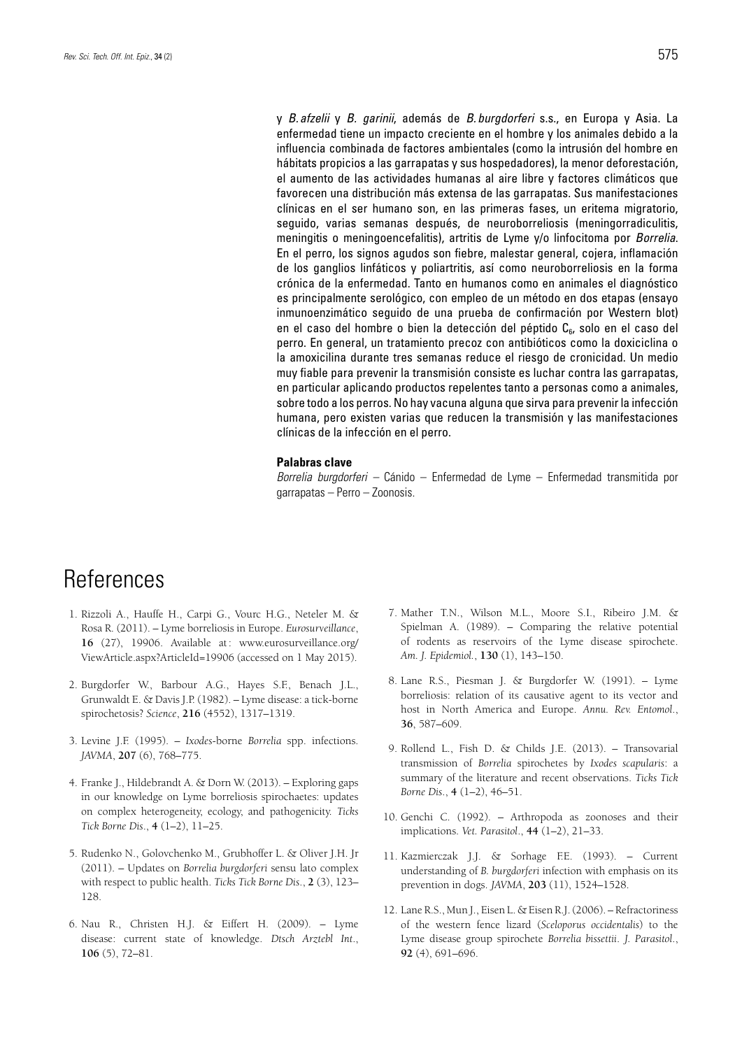y *B. afzelii* y *B. garinii*, además de *B. burgdorferi* s.s., en Europa y Asia. La enfermedad tiene un impacto creciente en el hombre y los animales debido a la influencia combinada de factores ambientales (como la intrusión del hombre en hábitats propicios a las garrapatas y sus hospedadores), la menor deforestación, el aumento de las actividades humanas al aire libre y factores climáticos que favorecen una distribución más extensa de las garrapatas. Sus manifestaciones clínicas en el ser humano son, en las primeras fases, un eritema migratorio, seguido, varias semanas después, de neuroborreliosis (meningorradiculitis, meningitis o meningoencefalitis), artritis de Lyme y/o linfocitoma por *Borrelia*. En el perro, los signos agudos son fiebre, malestar general, cojera, inflamación de los ganglios linfáticos y poliartritis, así como neuroborreliosis en la forma crónica de la enfermedad. Tanto en humanos como en animales el diagnóstico es principalmente serológico, con empleo de un método en dos etapas (ensayo inmunoenzimático seguido de una prueba de confirmación por Western blot) en el caso del hombre o bien la detección del péptido  $C_{6}$ , solo en el caso del perro. En general, un tratamiento precoz con antibióticos como la doxiciclina o la amoxicilina durante tres semanas reduce el riesgo de cronicidad. Un medio muy fiable para prevenir la transmisión consiste es luchar contra las garrapatas, en particular aplicando productos repelentes tanto a personas como a animales, sobre todo a los perros. No hay vacuna alguna que sirva para prevenir la infección humana, pero existen varias que reducen la transmisión y las manifestaciones clínicas de la infección en el perro.

#### **Palabras clave**

*Borrelia burgdorferi –* Cánido – Enfermedad de Lyme – Enfermedad transmitida por garrapatas – Perro – Zoonosis.

# **References**

- 1. Rizzoli A., Hauffe H., Carpi G., Vourc H.G., Neteler M. & Rosa R. (2011). – Lyme borreliosis in Europe. *Eurosurveillance*, **16** (27), 19906. Available at: www.eurosurveillance.org/ ViewArticle.aspx?ArticleId=19906 (accessed on 1 May 2015).
- 2. Burgdorfer W., Barbour A.G., Hayes S.F., Benach J.L., Grunwaldt E. & Davis J.P. (1982). – Lyme disease: a tick-borne spirochetosis? *Science*, **216** (4552), 1317–1319.
- 3. Levine J.F. (1995). *Ixodes*-borne *Borrelia* spp. infections. *JAVMA*, **207** (6), 768–775.
- 4. Franke J., Hildebrandt A. & Dorn W. (2013). Exploring gaps in our knowledge on Lyme borreliosis spirochaetes: updates on complex heterogeneity, ecology, and pathogenicity. *Ticks Tick Borne Dis*., **4** (1–2), 11–25.
- 5. Rudenko N., Golovchenko M., Grubhoffer L. & Oliver J.H. Jr (2011). – Updates on *Borrelia burgdorferi* sensu lato complex with respect to public health. *Ticks Tick Borne Dis*., **2** (3), 123– 128.
- 6. Nau R., Christen H.J. & Eiffert H. (2009). Lyme disease: current state of knowledge. *Dtsch Arztebl Int*., **106** (5), 72–81.
- 7. Mather T.N., Wilson M.L., Moore S.I., Ribeiro J.M. & Spielman A. (1989). – Comparing the relative potential of rodents as reservoirs of the Lyme disease spirochete. *Am. J. Epidemiol.*, **130** (1), 143–150.
- 8. Lane R.S., Piesman J. & Burgdorfer W. (1991). Lyme borreliosis: relation of its causative agent to its vector and host in North America and Europe. *Annu. Rev. Entomol*., **36**, 587–609.
- 9. Rollend L., Fish D. & Childs J.E. (2013). Transovarial transmission of *Borrelia* spirochetes by *Ixodes scapularis*: a summary of the literature and recent observations. *Ticks Tick Borne Dis*., **4** (1–2), 46–51.
- 10. Genchi C. (1992). Arthropoda as zoonoses and their implications. *Vet. Parasitol*., **44** (1–2), 21–33.
- 11. Kazmierczak J.J. & Sorhage F.E. (1993). Current understanding of *B. burgdorferi* infection with emphasis on its prevention in dogs. *JAVMA*, **203** (11), 1524–1528.
- 12. Lane R.S., Mun J., Eisen L. & Eisen R.J. (2006). Refractoriness of the western fence lizard (*Sceloporus occidentalis*) to the Lyme disease group spirochete *Borrelia bissettii*. *J. Parasitol*., **92** (4), 691–696.